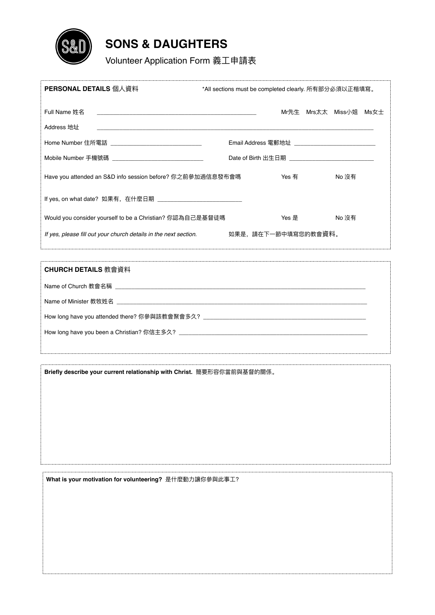

## **SONS & DAUGHTERS**

Volunteer Application Form 義⼯申請表

| PERSONAL DETAILS 個人資料                                              | *All sections must be completed clearly. 所有部分必須以正楷填寫。 |                                                        |                        |  |
|--------------------------------------------------------------------|-------------------------------------------------------|--------------------------------------------------------|------------------------|--|
| Full Name 姓名<br>Address 地址                                         |                                                       |                                                        | Mr先生 Mrs太太 Miss小姐 Ms女士 |  |
| Home Number 住所電話 _________________________________                 |                                                       | Email Address 電郵地址 _____________________________       |                        |  |
| Mobile Number 手機號碼 ________________________________                |                                                       | Date of Birth 出生日期 ___________________________________ |                        |  |
| Have you attended an S&D info session before? 你之前參加過信息發布會嗎         |                                                       | Yes 有                                                  | No 沒有                  |  |
| If yes, on what date?  如果有,在什麽日期  ________________________________ |                                                       |                                                        |                        |  |
| Would you consider yourself to be a Christian? 你認為自己是基督徒嗎          |                                                       | Yes 是                                                  | No 沒有                  |  |
| If yes, please fill out your church details in the next section.   |                                                       | 如果是,請在下一節中填寫您的教會資料。                                    |                        |  |
|                                                                    |                                                       |                                                        |                        |  |
| CHURCH DETAILS 教會資料                                                |                                                       |                                                        |                        |  |

| How long have you attended there? 你參與該教會聚會多久? ___________________________________ |  |
|-----------------------------------------------------------------------------------|--|
|                                                                                   |  |
|                                                                                   |  |

**Briefly describe your current relationship with Christ.** 簡要形容你當前與基督的關係。

What is your motivation for volunteering? 是什麼動力讓你參與此事工?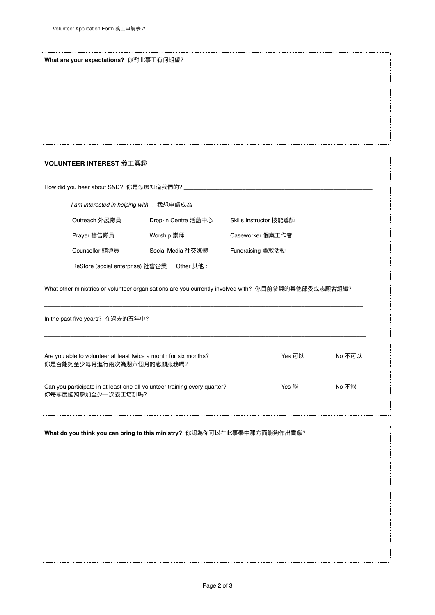|                                                                                                     | What are your expectations? 你對此事工有何期望? |                        |        |  |  |  |
|-----------------------------------------------------------------------------------------------------|----------------------------------------|------------------------|--------|--|--|--|
|                                                                                                     |                                        |                        |        |  |  |  |
|                                                                                                     |                                        |                        |        |  |  |  |
|                                                                                                     |                                        |                        |        |  |  |  |
|                                                                                                     |                                        |                        |        |  |  |  |
|                                                                                                     |                                        |                        |        |  |  |  |
| VOLUNTEER INTEREST 義工興趣                                                                             |                                        |                        |        |  |  |  |
|                                                                                                     |                                        |                        |        |  |  |  |
| I am interested in helping with 我想申請成為                                                              |                                        |                        |        |  |  |  |
| Outreach 外展隊員                                                                                       | Drop-in Centre 活動中心                    | Skills Instructor 技能導師 |        |  |  |  |
| Prayer 禱告隊員                                                                                         | Worship 崇拜                             | Caseworker 個案工作者       |        |  |  |  |
| Counsellor 輔導員                                                                                      | Social Media 社交媒體                      | Fundraising 籌款活動       |        |  |  |  |
|                                                                                                     |                                        |                        |        |  |  |  |
| What other ministries or volunteer organisations are you currently involved with? 你目前參與的其他部委或志願者組織? |                                        |                        |        |  |  |  |
|                                                                                                     |                                        |                        |        |  |  |  |
|                                                                                                     |                                        |                        |        |  |  |  |
| In the past five years? 在過去的五年中?                                                                    |                                        |                        |        |  |  |  |
|                                                                                                     |                                        |                        |        |  |  |  |
| Are you able to volunteer at least twice a month for six months?<br>你是否能夠至少每月進行兩次為期六個月的志願服務嗎?       |                                        | Yes 可以                 | No 不可以 |  |  |  |
| Can you participate in at least one all-volunteer training every quarter?<br>你每季度能夠參加至少一次義工培訓嗎?     |                                        | Yes 能                  | No 不能  |  |  |  |
|                                                                                                     |                                        |                        |        |  |  |  |
| What do you think you can bring to this ministry? 你認為你可以在此事奉中那方面能夠作出貢獻?                             |                                        |                        |        |  |  |  |
|                                                                                                     |                                        |                        |        |  |  |  |
|                                                                                                     |                                        |                        |        |  |  |  |
|                                                                                                     |                                        |                        |        |  |  |  |